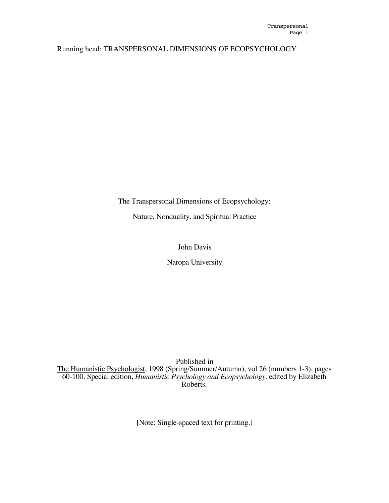# Running head: TRANSPERSONAL DIMENSIONS OF ECOPSYCHOLOGY

The Transpersonal Dimensions of Ecopsychology:

Nature, Nonduality, and Spiritual Practice

John Davis

Naropa University

Published in The Humanistic Psychologist, 1998 (Spring/Summer/Autumn), vol 26 (numbers 1-3), pages 60-100. Special edition, *Humanistic Psychology and Ecopsychology,* edited by Elizabeth Roberts.

[Note: Single-spaced text for printing.]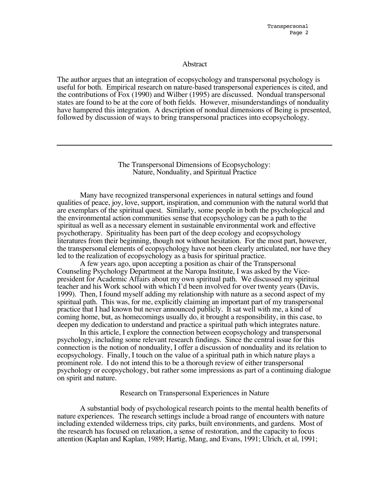#### **Abstract**

The author argues that an integration of ecopsychology and transpersonal psychology is useful for both. Empirical research on nature-based transpersonal experiences is cited, and the contributions of Fox (1990) and Wilber (1995) are discussed. Nondual transpersonal states are found to be at the core of both fields. However, misunderstandings of nonduality have hampered this integration. A description of nondual dimensions of Being is presented, followed by discussion of ways to bring transpersonal practices into ecopsychology.

> The Transpersonal Dimensions of Ecopsychology: Nature, Nonduality, and Spiritual Practice

Many have recognized transpersonal experiences in natural settings and found qualities of peace, joy, love, support, inspiration, and communion with the natural world that are exemplars of the spiritual quest. Similarly, some people in both the psychological and the environmental action communities sense that ecopsychology can be a path to the spiritual as well as a necessary element in sustainable environmental work and effective psychotherapy. Spirituality has been part of the deep ecology and ecopsychology literatures from their beginning, though not without hesitation. For the most part, however, the transpersonal elements of ecopsychology have not been clearly articulated, nor have they led to the realization of ecopsychology as a basis for spiritual practice.

A few years ago, upon accepting a position as chair of the Transpersonal Counseling Psychology Department at the Naropa Institute, I was asked by the Vicepresident for Academic Affairs about my own spiritual path. We discussed my spiritual teacher and his Work school with which I'd been involved for over twenty years (Davis, 1999). Then, I found myself adding my relationship with nature as a second aspect of my spiritual path. This was, for me, explicitly claiming an important part of my transpersonal practice that I had known but never announced publicly. It sat well with me, a kind of coming home, but, as homecomings usually do, it brought a responsibility, in this case, to deepen my dedication to understand and practice a spiritual path which integrates nature.

In this article, I explore the connection between ecopsychology and transpersonal psychology, including some relevant research findings. Since the central issue for this connection is the notion of nonduality, I offer a discussion of nonduality and its relation to ecopsychology. Finally, I touch on the value of a spiritual path in which nature plays a prominent role. I do not intend this to be a thorough review of either transpersonal psychology or ecopsychology, but rather some impressions as part of a continuing dialogue on spirit and nature.

#### Research on Transpersonal Experiences in Nature

A substantial body of psychological research points to the mental health benefits of nature experiences. The research settings include a broad range of encounters with nature including extended wilderness trips, city parks, built environments, and gardens. Most of the research has focused on relaxation, a sense of restoration, and the capacity to focus attention (Kaplan and Kaplan, 1989; Hartig, Mang, and Evans, 1991; Ulrich, et al, 1991;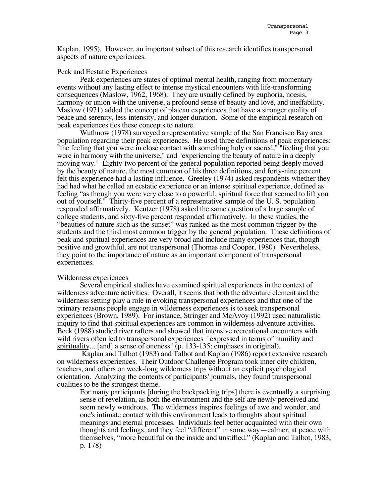Kaplan, 1995). However, an important subset of this research identifies transpersonal aspects of nature experiences.

### Peak and Ecstatic Experiences

Peak experiences are states of optimal mental health, ranging from momentary events without any lasting effect to intense mystical encounters with life-transforming consequences (Maslow, 1962, 1968). They are usually defined by euphoria, noesis, harmony or union with the universe, a profound sense of beauty and love, and ineffability. Maslow (1971) added the concept of plateau experiences that have a stronger quality of peace and serenity, less intensity, and longer duration. Some of the empirical research on peak experiences ties these concepts to nature.

Wuthnow (1978) surveyed a representative sample of the San Francisco Bay area population regarding their peak experiences. He used three definitions of peak experiences: "the feeling that you were in close contact with something holy or sacred," "feeling that you were in harmony with the universe," and "experiencing the beauty of nature in a deeply moving way." Eighty-two percent of the general population reported being deeply moved by the beauty of nature, the most common of his three definitions, and forty-nine percent felt this experience had a lasting influence. Greeley (1974) asked respondents whether they had had what he called an ecstatic experience or an intense spiritual experience, defined as feeling "as though you were very close to a powerful, spiritual force that seemed to lift you out of yourself." Thirty-five percent of a representative sample of the U. S. population responded affirmatively. Keutzer (1978) asked the same question of a large sample of college students, and sixty-five percent responded affirmatively. In these studies, the "beauties of nature such as the sunset" was ranked as the most common trigger by the students and the third most common trigger by the general population. These definitions of peak and spiritual experiences are very broad and include many experiences that, though positive and growthful, are not transpersonal (Thomas and Cooper, 1980). Nevertheless, they point to the importance of nature as an important component of transpersonal experiences.

## Wilderness experiences

Several empirical studies have examined spiritual experiences in the context of wilderness adventure activities. Overall, it seems that both the adventure element and the wilderness setting play a role in evoking transpersonal experiences and that one of the primary reasons people engage in wilderness experiences is to seek transpersonal experiences (Brown, 1989). For instance, Stringer and McAvoy (1992) used naturalistic inquiry to find that spiritual experiences are common in wilderness adventure activities. Beck (1988) studied river rafters and showed that intensive recreational encounters with wild rivers often led to transpersonal experiences "expressed in terms of humility and spirituality....[and] a sense of oneness" (p. 133-135; emphases in original).

 Kaplan and Talbot (1983) and Talbot and Kaplan (1986) report extensive research on wilderness experiences. Their Outdoor Challenge Program took inner city children, teachers, and others on week-long wilderness trips without an explicit psychological orientation. Analyzing the contents of participants' journals, they found transpersonal qualities to be the strongest theme.

For many participants [during the backpacking trips] there is eventually a surprising sense of revelation, as both the environment and the self are newly perceived and seem newly wondrous. The wilderness inspires feelings of awe and wonder, and one's intimate contact with this environment leads to thoughts about spiritual meanings and eternal processes. Individuals feel better acquainted with their own thoughts and feelings, and they feel "different" in some way—calmer, at peace with themselves, "more beautiful on the inside and unstifled." (Kaplan and Talbot, 1983, p. 178)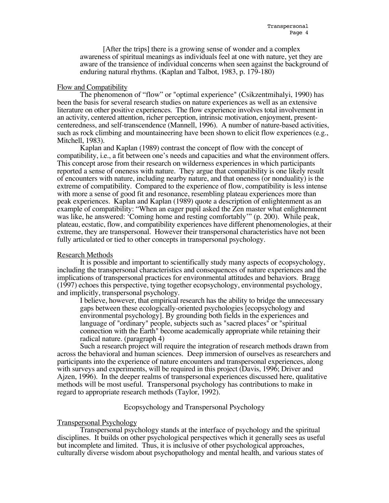[After the trips] there is a growing sense of wonder and a complex awareness of spiritual meanings as individuals feel at one with nature, yet they are aware of the transience of individual concerns when seen against the background of enduring natural rhythms. (Kaplan and Talbot, 1983, p. 179-180)

## Flow and Compatibility

The phenomenon of "flow" or "optimal experience" (Csikzentmihalyi, 1990) has been the basis for several research studies on nature experiences as well as an extensive literature on other positive experiences. The flow experience involves total involvement in an activity, centered attention, richer perception, intrinsic motivation, enjoyment, presentcenteredness, and self-transcendence (Mannell, 1996). A number of nature-based activities, such as rock climbing and mountaineering have been shown to elicit flow experiences (e.g., Mitchell, 1983).

Kaplan and Kaplan (1989) contrast the concept of flow with the concept of compatibility, i.e., a fit between one's needs and capacities and what the environment offers. This concept arose from their research on wilderness experiences in which participants reported a sense of oneness with nature. They argue that compatibility is one likely result of encounters with nature, including nearby nature, and that oneness (or nonduality) is the extreme of compatibility. Compared to the experience of flow, compatibility is less intense with more a sense of good fit and resonance, resembling plateau experiences more than peak experiences. Kaplan and Kaplan (1989) quote a description of enlightenment as an example of compatibility: "When an eager pupil asked the Zen master what enlightenment was like, he answered: 'Coming home and resting comfortably'" (p. 200). While peak, plateau, ecstatic, flow, and compatibility experiences have different phenomenologies, at their extreme, they are transpersonal. However their transpersonal characteristics have not been fully articulated or tied to other concepts in transpersonal psychology.

## Research Methods

It is possible and important to scientifically study many aspects of ecopsychology, including the transpersonal characteristics and consequences of nature experiences and the implications of transpersonal practices for environmental attitudes and behaviors. Bragg (1997) echoes this perspective, tying together ecopsychology, environmental psychology, and implicitly, transpersonal psychology.

I believe, however, that empirical research has the ability to bridge the unnecessary gaps between these ecologically-oriented psychologies [ecopsychology and environmental psychology]. By grounding both fields in the experiences and language of "ordinary" people, subjects such as "sacred places" or "spiritual connection with the Earth" become academically appropriate while retaining their radical nature. (paragraph 4)

Such a research project will require the integration of research methods drawn from across the behavioral and human sciences. Deep immersion of ourselves as researchers and participants into the experience of nature encounters and transpersonal experiences, along with surveys and experiments, will be required in this project (Davis, 1996; Driver and Ajzen, 1996). In the deeper realms of transpersonal experiences discussed here, qualitative methods will be most useful. Transpersonal psychology has contributions to make in regard to appropriate research methods (Taylor, 1992).

## Ecopsychology and Transpersonal Psychology

### Transpersonal Psychology

Transpersonal psychology stands at the interface of psychology and the spiritual disciplines. It builds on other psychological perspectives which it generally sees as useful but incomplete and limited. Thus, it is inclusive of other psychological approaches, culturally diverse wisdom about psychopathology and mental health, and various states of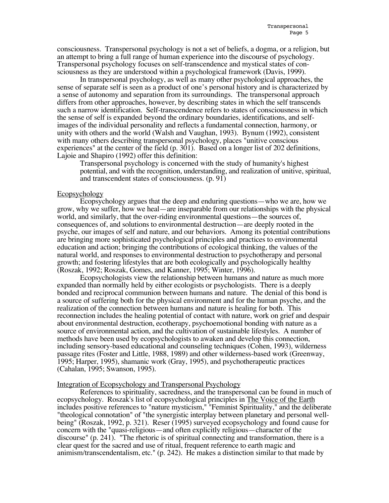consciousness. Transpersonal psychology is not a set of beliefs, a dogma, or a religion, but an attempt to bring a full range of human experience into the discourse of psychology. Transpersonal psychology focuses on self-transcendence and mystical states of consciousness as they are understood within a psychological framework (Davis, 1999).

In transpersonal psychology, as well as many other psychological approaches, the sense of separate self is seen as a product of one's personal history and is characterized by a sense of autonomy and separation from its surroundings. The transpersonal approach differs from other approaches, however, by describing states in which the self transcends such a narrow identification. Self-transcendence refers to states of consciousness in which the sense of self is expanded beyond the ordinary boundaries, identifications, and selfimages of the individual personality and reflects a fundamental connection, harmony, or unity with others and the world (Walsh and Vaughan, 1993). Bynum (1992), consistent with many others describing transpersonal psychology, places "unitive conscious experiences" at the center of the field (p. 301). Based on a longer list of 202 definitions, Lajoie and Shapiro (1992) offer this definition:

Transpersonal psychology is concerned with the study of humanity's highest potential, and with the recognition, understanding, and realization of unitive, spiritual, and transcendent states of consciousness.  $(p. 91)$ 

#### Ecopsychology

Ecopsychology argues that the deep and enduring questions—who we are, how we grow, why we suffer, how we heal—are inseparable from our relationships with the physical world, and similarly, that the over-riding environmental questions—the sources of, consequences of, and solutions to environmental destruction—are deeply rooted in the psyche, our images of self and nature, and our behaviors. Among its potential contributions are bringing more sophisticated psychological principles and practices to environmental education and action; bringing the contributions of ecological thinking, the values of the natural world, and responses to environmental destruction to psychotherapy and personal growth; and fostering lifestyles that are both ecologically and psychologically healthy (Roszak, 1992; Roszak, Gomes, and Kanner, 1995; Winter, 1996).

Ecopsychologists view the relationship between humans and nature as much more expanded than normally held by either ecologists or psychologists. There is a deeply bonded and reciprocal communion between humans and nature. The denial of this bond is a source of suffering both for the physical environment and for the human psyche, and the realization of the connection between humans and nature is healing for both. This reconnection includes the healing potential of contact with nature, work on grief and despair about environmental destruction, ecotherapy, psychoemotional bonding with nature as a source of environmental action, and the cultivation of sustainable lifestyles. A number of methods have been used by ecopsychologists to awaken and develop this connection, including sensory-based educational and counseling techniques (Cohen, 1993), wilderness passage rites (Foster and Little, 1988, 1989) and other wilderness-based work (Greenway, 1995; Harper, 1995), shamanic work (Gray, 1995), and psychotherapeutic practices (Cahalan, 1995; Swanson, 1995).

#### Integration of Ecopsychology and Transpersonal Psychology

References to spirituality, sacredness, and the transpersonal can be found in much of ecopsychology. Roszak's list of ecopsychological principles in The Voice of the Earth includes positive references to "nature mysticism," "Feminist Spirituality," and the deliberate "theological connotation" of "the synergistic interplay between planetary and personal wellbeing" (Roszak, 1992, p. 321). Reser (1995) surveyed ecopsychology and found cause for concern with the "quasi-religious—and often explicitly religious—character of the discourse" (p. 241). "The rhetoric is of spiritual connecting and transformation, there is a clear quest for the sacred and use of ritual, frequent reference to earth magic and animism/transcendentalism, etc." (p. 242). He makes a distinction similar to that made by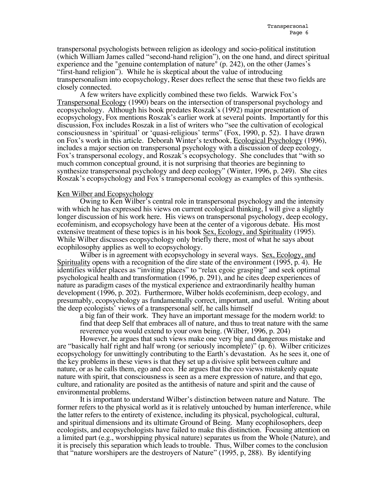transpersonal psychologists between religion as ideology and socio-political institution (which William James called "second-hand religion"), on the one hand, and direct spiritual experience and the "genuine contemplation of nature" (p. 242), on the other (James's "first-hand religion"). While he is skeptical about the value of introducing transpersonalism into ecopsychology, Reser does reflect the sense that these two fields are closely connected.

A few writers have explicitly combined these two fields. Warwick Fox's Transpersonal Ecology (1990) bears on the intersection of transpersonal psychology and ecopsychology. Although his book predates Roszak's (1992) major presentation of ecopsychology, Fox mentions Roszak's earlier work at several points. Importantly for this discussion, Fox includes Roszak in a list of writers who "see the cultivation of ecological consciousness in 'spiritual' or 'quasi-religious' terms" (Fox, 1990, p. 52). I have drawn on Fox's work in this article. Deborah Winter's textbook, Ecological Psychology (1996), includes a major section on transpersonal psychology with a discussion of deep ecology, Fox's transpersonal ecology, and Roszak's ecopsychology. She concludes that "with so much common conceptual ground, it is not surprising that theories are beginning to synthesize transpersonal psychology and deep ecology" (Winter, 1996, p. 249). She cites Roszak's ecopsychology and Fox's transpersonal ecology as examples of this synthesis.

### Ken Wilber and Ecopsychology

Owing to Ken Wilber's central role in transpersonal psychology and the intensity with which he has expressed his views on current ecological thinking, I will give a slightly longer discussion of his work here. His views on transpersonal psychology, deep ecology, ecofeminism, and ecopsychology have been at the center of a vigorous debate. His most extensive treatment of these topics is in his book <u>Sex, Ecology, and Spirituality</u> (1995). While Wilber discusses ecopsychology only briefly there, most of what he says about ecophilosophy applies as well to ecopsychology.

Wilber is in agreement with ecopsychology in several ways. Sex, Ecology, and Spirituality opens with a recognition of the dire state of the environment (1995, p. 4). He identifies wilder places as "inviting places" to "relax egoic grasping" and seek optimal psychological health and transformation (1996, p. 291), and he cites deep experiences of nature as paradigm cases of the mystical experience and extraordinarily healthy human development (1996, p. 202). Furthermore, Wilber holds ecofeminism, deep ecology, and presumably, ecopsychology as fundamentally correct, important, and useful. Writing about the deep ecologists' views of a transpersonal self, he calls himself

a big fan of their work. They have an important message for the modern world: to find that deep Self that embraces all of nature, and thus to treat nature with the same reverence you would extend to your own being. (Wilber, 1996, p. 204)

However, he argues that such views make one very big and dangerous mistake and are "basically half right and half wrong (or seriously incomplete)" (p.  $\overline{6}$ ). Wilber criticizes ecopsychology for unwittingly contributing to the Earth's devastation. As he sees it, one of the key problems in these views is that they set up a divisive split between culture and nature, or as he calls them, ego and eco. He argues that the eco views mistakenly equate nature with spirit, that consciousness is seen as a mere expression of nature, and that ego, culture, and rationality are posited as the antithesis of nature and spirit and the cause of environmental problems.

It is important to understand Wilber's distinction between nature and Nature. The former refers to the physical world as it is relatively untouched by human interference, while the latter refers to the entirety of existence, including its physical, psychological, cultural, and spiritual dimensions and its ultimate Ground of Being. Many ecophilosophers, deep ecologists, and ecopsychologists have failed to make this distinction. Focusing attention on a limited part (e.g., worshipping physical nature) separates us from the Whole (Nature), and it is precisely this separation which leads to trouble. Thus, Wilber comes to the conclusion that "nature worshipers are the destroyers of Nature" (1995, p, 288). By identifying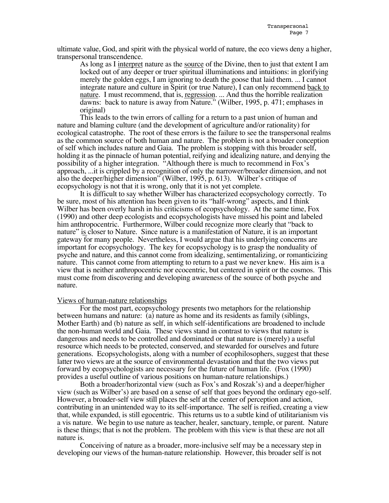ultimate value, God, and spirit with the physical world of nature, the eco views deny a higher, transpersonal transcendence.

As long as I interpret nature as the source of the Divine, then to just that extent I am locked out of any deeper or truer spiritual illuminations and intuitions: in glorifying merely the golden eggs, I am ignoring to death the goose that laid them. ... I cannot integrate nature and culture in Spirit (or true Nature), I can only recommend back to nature. I must recommend, that is, regression. ... And thus the horrible realization dawns: back to nature is away from Nature." (Wilber, 1995, p. 471; emphases in original)

This leads to the twin errors of calling for a return to a past union of human and nature and blaming culture (and the development of agriculture and/or rationality) for ecological catastrophe. The root of these errors is the failure to see the transpersonal realms as the common source of both human and nature. The problem is not a broader conception of self which includes nature and Gaia. The problem is stopping with this broader self, holding it as the pinnacle of human potential, reifying and idealizing nature, and denying the possibility of a higher integration. "Although there is much to recommend in Fox's approach, ...it is crippled by a recognition of only the narrower/broader dimension, and not also the deeper/higher dimension" (Wilber, 1995, p. 613). Wilber's critique of ecopsychology is not that it is wrong, only that it is not yet complete.

It is difficult to say whether Wilber has characterized ecopsychology correctly. To be sure, most of his attention has been given to its "half-wrong" aspects, and I think Wilber has been overly harsh in his criticisms of ecopsychology. At the same time, Fox (1990) and other deep ecologists and ecopsychologists have missed his point and labeled him anthropocentric. Furthermore, Wilber could recognize more clearly that "back to nature" is closer to Nature. Since nature is a manifestation of Nature, it is an important gateway for many people. Nevertheless, I would argue that his underlying concerns are important for ecopsychology. The key for ecopsychology is to grasp the nonduality of psyche and nature, and this cannot come from idealizing, sentimentalizing, or romanticizing nature. This cannot come from attempting to return to a past we never knew. His aim is a view that is neither anthropocentric nor ecocentric, but centered in spirit or the cosmos. This must come from discovering and developing awareness of the source of both psyche and nature.

### Views of human-nature relationships

For the most part, ecopsychology presents two metaphors for the relationship between humans and nature: (a) nature as home and its residents as family (siblings, Mother Earth) and (b) nature as self, in which self-identifications are broadened to include the non-human world and Gaia. These views stand in contrast to views that nature is dangerous and needs to be controlled and dominated or that nature is (merely) a useful resource which needs to be protected, conserved, and stewarded for ourselves and future generations. Ecopsychologists, along with a number of ecophilosophers, suggest that these latter two views are at the source of environmental devastation and that the two views put forward by ecopsychologists are necessary for the future of human life. (Fox (1990) provides a useful outline of various positions on human-nature relationships.)

Both a broader/horizontal view (such as Fox's and Roszak's) and a deeper/higher view (such as Wilber's) are based on a sense of self that goes beyond the ordinary ego-self. However, a broader-self view still places the self at the center of perception and action, contributing in an unintended way to its self-importance. The self is reified, creating a view that, while expanded, is still egocentric. This returns us to a subtle kind of utilitarianism vis a vis nature. We begin to use nature as teacher, healer, sanctuary, temple, or parent. Nature is these things; that is not the problem. The problem with this view is that these are not all nature is.

Conceiving of nature as a broader, more-inclusive self may be a necessary step in developing our views of the human-nature relationship. However, this broader self is not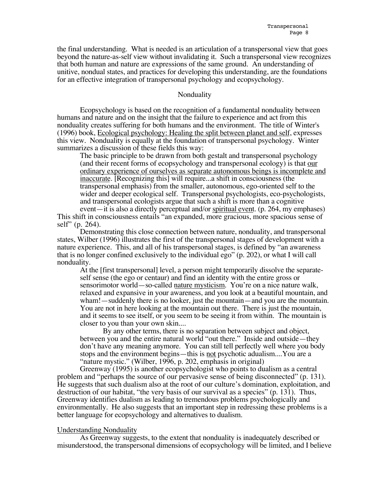the final understanding. What is needed is an articulation of a transpersonal view that goes beyond the nature-as-self view without invalidating it. Such a transpersonal view recognizes that both human and nature are expressions of the same ground. An understanding of unitive, nondual states, and practices for developing this understanding, are the foundations for an effective integration of transpersonal psychology and ecopsychology.

### Nonduality

Ecopsychology is based on the recognition of a fundamental nonduality between humans and nature and on the insight that the failure to experience and act from this nonduality creates suffering for both humans and the environment. The title of Winter's (1996) book, Ecological psychology: Healing the split between planet and self, expresses this view. Nonduality is equally at the foundation of transpersonal psychology. Winter summarizes a discussion of these fields this way:

The basic principle to be drawn from both gestalt and transpersonal psychology (and their recent forms of ecopsychology and transpersonal ecology) is that our ordinary experience of ourselves as separate autonomous beings is incomplete and inaccurate. [Recognizing this] will require...a shift in consciousness (the transpersonal emphasis) from the smaller, autonomous, ego-oriented self to the wider and deeper ecological self. Transpersonal psychologists, eco-psychologists, and transpersonal ecologists argue that such a shift is more than a cognitive

event—it is also a directly perceptual and/or spiritual event. (p. 264, my emphases) This shift in consciousness entails "an expanded, more gracious, more spacious sense of self" (p. 264).

Demonstrating this close connection between nature, nonduality, and transpersonal states, Wilber (1996) illustrates the first of the transpersonal stages of development with a nature experience. This, and all of his transpersonal stages, is defined by "an awareness that is no longer confined exclusively to the individual ego" (p. 202), or what I will call nonduality.

At the [first transpersonal] level, a person might temporarily dissolve the separateself sense (the ego or centaur) and find an identity with the entire gross or sensorimotor world—so-called nature mysticism. You're on a nice nature walk, relaxed and expansive in your awareness, and you look at a beautiful mountain, and wham!—suddenly there is no looker, just the mountain—and you are the mountain. You are not in here looking at the mountain out there. There is just the mountain, and it seems to see itself, or you seem to be seeing it from within. The mountain is closer to you than your own skin....

By any other terms, there is no separation between subject and object, between you and the entire natural world "out there." Inside and outside—they don't have any meaning anymore. You can still tell perfectly well where you body stops and the environment begins—this is not psychotic adualism....You are a "nature mystic." (Wilber, 1996, p. 202, emphasis in original)

Greenway (1995) is another ecopsychologist who points to dualism as a central problem and "perhaps the source of our pervasive sense of being disconnected" (p. 131). He suggests that such dualism also at the root of our culture's domination, exploitation, and destruction of our habitat, "the very basis of our survival as a species" (p. 131). Thus, Greenway identifies dualism as leading to tremendous problems psychologically and environmentally. He also suggests that an important step in redressing these problems is a better language for ecopsychology and alternatives to dualism.

### Understanding Nonduality

As Greenway suggests, to the extent that nonduality is inadequately described or misunderstood, the transpersonal dimensions of ecopsychology will be limited, and I believe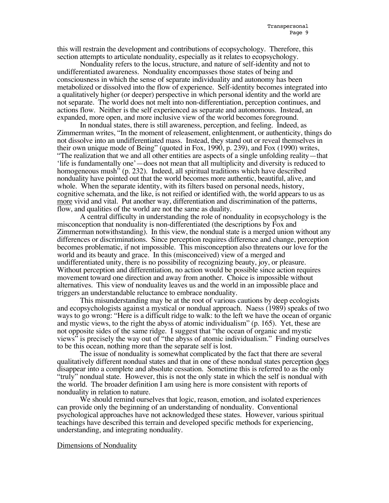this will restrain the development and contributions of ecopsychology. Therefore, this section attempts to articulate nonduality, especially as it relates to ecopsychology.

Nonduality refers to the locus, structure, and nature of self-identity and not to undifferentiated awareness. Nonduality encompasses those states of being and consciousness in which the sense of separate individuality and autonomy has been metabolized or dissolved into the flow of experience. Self-identity becomes integrated into a qualitatively higher (or deeper) perspective in which personal identity and the world are not separate. The world does not melt into non-differentiation, perception continues, and actions flow. Neither is the self experienced as separate and autonomous. Instead, an expanded, more open, and more inclusive view of the world becomes foreground.

In nondual states, there is still awareness, perception, and feeling. Indeed, as Zimmerman writes, "In the moment of releasement, enlightenment, or authenticity, things do not dissolve into an undifferentiated mass. Instead, they stand out or reveal themselves in their own unique mode of Being" (quoted in Fox, 1990, p. 239), and Fox (1990) writes, "The realization that we and all other entities are aspects of a single unfolding reality—that 'life is fundamentally one'—does not mean that all multiplicity and diversity is reduced to homogeneous mush" (p. 232). Indeed, all spiritual traditions which have described nonduality have pointed out that the world becomes more authentic, beautiful, alive, and whole. When the separate identity, with its filters based on personal needs, history, cognitive schemata, and the like, is not reified or identified with, the world appears to us as more vivid and vital. Put another way, differentiation and discrimination of the patterns, flow, and qualities of the world are not the same as duality.

A central difficulty in understanding the role of nonduality in ecopsychology is the misconception that nonduality is non-differentiated (the descriptions by Fox and Zimmerman notwithstanding). In this view, the nondual state is a merged union without any differences or discriminations. Since perception requires difference and change, perception becomes problematic, if not impossible. This misconception also threatens our love for the world and its beauty and grace. In this (misconceived) view of a merged and undifferentiated unity, there is no possibility of recognizing beauty, joy, or pleasure. Without perception and differentiation, no action would be possible since action requires movement toward one direction and away from another. Choice is impossible without alternatives. This view of nonduality leaves us and the world in an impossible place and triggers an understandable reluctance to embrace nonduality.

This misunderstanding may be at the root of various cautions by deep ecologists and ecopsychologists against a mystical or nondual approach. Naess (1989) speaks of two ways to go wrong: "Here is a difficult ridge to walk: to the left we have the ocean of organic and mystic views, to the right the abyss of atomic individualism" (p. 165). Yet, these are not opposite sides of the same ridge. I suggest that "the ocean of organic and mystic views" is precisely the way out of "the abyss of atomic individualism." Finding ourselves to be this ocean, nothing more than the separate self is lost.

The issue of nonduality is somewhat complicated by the fact that there are several qualitatively different nondual states and that in one of these nondual states perception does disappear into a complete and absolute cessation. Sometime this is referred to as the only "truly" nondual state. However, this is not the only state in which the self is nondual with the world. The broader definition I am using here is more consistent with reports of nonduality in relation to nature.

We should remind ourselves that logic, reason, emotion, and isolated experiences can provide only the beginning of an understanding of nonduality. Conventional psychological approaches have not acknowledged these states. However, various spiritual teachings have described this terrain and developed specific methods for experiencing, understanding, and integrating nonduality.

### Dimensions of Nonduality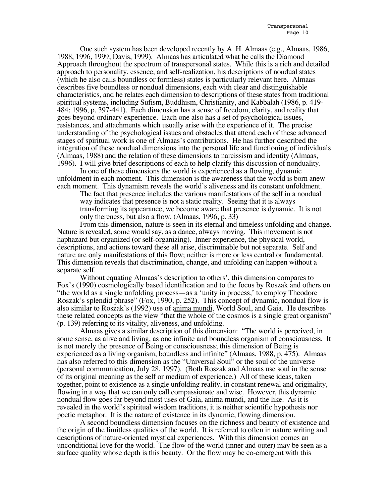One such system has been developed recently by A. H. Almaas (e.g., Almaas, 1986, 1988, 1996, 1999; Davis, 1999). Almaas has articulated what he calls the Diamond Approach throughout the spectrum of transpersonal states. While this is a rich and detailed approach to personality, essence, and self-realization, his descriptions of nondual states (which he also calls boundless or formless) states is particularly relevant here. Almaas describes five boundless or nondual dimensions, each with clear and distinguishable characteristics, and he relates each dimension to descriptions of these states from traditional spiritual systems, including Sufism, Buddhism, Christianity, and Kabbalah (1986, p. 419- 484; 1996, p. 397-441). Each dimension has a sense of freedom, clarity, and reality that goes beyond ordinary experience. Each one also has a set of psychological issues, resistances, and attachments which usually arise with the experience of it. The precise understanding of the psychological issues and obstacles that attend each of these advanced stages of spiritual work is one of Almaas's contributions. He has further described the integration of these nondual dimensions into the personal life and functioning of individuals (Almaas, 1988) and the relation of these dimensions to narcissism and identity (Almaas, 1996). I will give brief descriptions of each to help clarify this discussion of nonduality.

In one of these dimensions the world is experienced as a flowing, dynamic unfoldment in each moment. This dimension is the awareness that the world is born anew each moment. This dynamism reveals the world's aliveness and its constant unfoldment.

The fact that presence includes the various manifestations of the self in a nondual way indicates that presence is not a static reality. Seeing that it is always transforming its appearance, we become aware that presence is dynamic. It is not only thereness, but also a flow. (Almaas, 1996, p. 33)

From this dimension, nature is seen in its eternal and timeless unfolding and change. Nature is revealed, some would say, as a dance, always moving. This movement is not haphazard but organized (or self-organizing). Inner experience, the physical world, descriptions, and actions toward these all arise, discriminable but not separate. Self and nature are only manifestations of this flow; neither is more or less central or fundamental. This dimension reveals that discrimination, change, and unfolding can happen without a separate self.

Without equating Almaas's description to others', this dimension compares to Fox's (1990) cosmologically based identification and to the focus by Roszak and others on "the world as a single unfolding process—as a 'unity in process,' to employ Theodore Roszak's splendid phrase" (Fox, 1990, p. 252). This concept of dynamic, nondual flow is also similar to Roszak's (1992) use of anima mundi, World Soul, and Gaia. He describes these related concepts as the view "that the whole of the cosmos is a single great organism" (p. 139) referring to its vitality, aliveness, and unfolding.

Almaas gives a similar description of this dimension: "The world is perceived, in some sense, as alive and living, as one infinite and boundless organism of consciousness. It is not merely the presence of Being or consciousness; this dimension of Being is experienced as a living organism, boundless and infinite" (Almaas, 1988, p. 475). Almaas has also referred to this dimension as the "Universal Soul" or the soul of the universe (personal communication, July 28, 1997). (Both Roszak and Almaas use soul in the sense of its original meaning as the self or medium of experience.) All of these ideas, taken together, point to existence as a single unfolding reality, in constant renewal and originality, flowing in a way that we can only call compassionate and wise. However, this dynamic nondual flow goes far beyond most uses of Gaia, anima mundi, and the like. As it is revealed in the world's spiritual wisdom traditions, it is neither scientific hypothesis nor poetic metaphor. It is the nature of existence in its dynamic, flowing dimension.

A second boundless dimension focuses on the richness and beauty of existence and the origin of the limitless qualities of the world. It is referred to often in nature writing and descriptions of nature-oriented mystical experiences. With this dimension comes an unconditional love for the world. The flow of the world (inner and outer) may be seen as a surface quality whose depth is this beauty. Or the flow may be co-emergent with this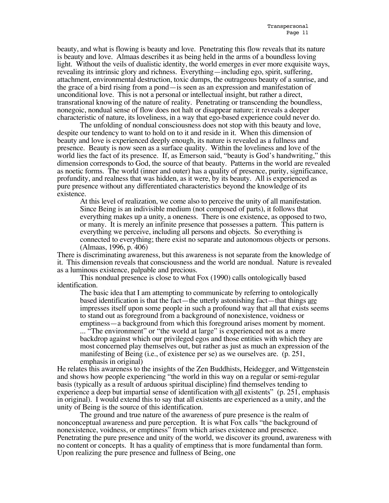beauty, and what is flowing is beauty and love. Penetrating this flow reveals that its nature is beauty and love. Almaas describes it as being held in the arms of a boundless loving light. Without the veils of dualistic identity, the world emerges in ever more exquisite ways, revealing its intrinsic glory and richness. Everything—including ego, spirit, suffering, attachment, environmental destruction, toxic dumps, the outrageous beauty of a sunrise, and the grace of a bird rising from a pond—is seen as an expression and manifestation of unconditional love. This is not a personal or intellectual insight, but rather a direct, transrational knowing of the nature of reality. Penetrating or transcending the boundless, nonegoic, nondual sense of flow does not halt or disappear nature; it reveals a deeper characteristic of nature, its loveliness, in a way that ego-based experience could never do.

The unfolding of nondual consciousness does not stop with this beauty and love, despite our tendency to want to hold on to it and reside in it. When this dimension of beauty and love is experienced deeply enough, its nature is revealed as a fullness and presence. Beauty is now seen as a surface quality. Within the loveliness and love of the world lies the fact of its presence. If, as Emerson said, "beauty is God's handwriting," this dimension corresponds to God, the source of that beauty. Patterns in the world are revealed as noetic forms. The world (inner and outer) has a quality of presence, purity, significance, profundity, and realness that was hidden, as it were, by its beauty. All is experienced as pure presence without any differentiated characteristics beyond the knowledge of its existence.

At this level of realization, we come also to perceive the unity of all manifestation. Since Being is an indivisible medium (not composed of parts), it follows that everything makes up a unity, a oneness. There is one existence, as opposed to two, or many. It is merely an infinite presence that possesses a pattern. This pattern is everything we perceive, including all persons and objects. So everything is connected to everything; there exist no separate and autonomous objects or persons. (Almaas, 1996, p. 406)

There is discriminating awareness, but this awareness is not separate from the knowledge of it. This dimension reveals that consciousness and the world are nondual. Nature is revealed as a luminous existence, palpable and precious.

This nondual presence is close to what Fox (1990) calls ontologically based identification.

The basic idea that I am attempting to communicate by referring to ontologically based identification is that the fact—the utterly astonishing fact—that things are impresses itself upon some people in such a profound way that all that exists seems to stand out as foreground from a background of nonexistence, voidness or emptiness—a background from which this foreground arises moment by moment. ... "The environment" or "the world at large" is experienced not as a mere backdrop against which our privileged egos and those entities with which they are most concerned play themselves out, but rather as just as much an expression of the manifesting of Being (i.e., of existence per se) as we ourselves are. (p. 251, emphasis in original)

He relates this awareness to the insights of the Zen Buddhists, Heidegger, and Wittgenstein and shows how people experiencing "the world in this way on a regular or semi-regular basis (typically as a result of arduous spiritual discipline) find themselves tending to experience a deep but impartial sense of identification with all existents" (p. 251, emphasis in original). I would extend this to say that all existents are experienced as a unity, and the unity of Being is the source of this identification.

The ground and true nature of the awareness of pure presence is the realm of nonconceptual awareness and pure perception. It is what Fox calls "the background of nonexistence, voidness, or emptiness" from which arises existence and presence. Penetrating the pure presence and unity of the world, we discover its ground, awareness with no content or concepts. It has a quality of emptiness that is more fundamental than form. Upon realizing the pure presence and fullness of Being, one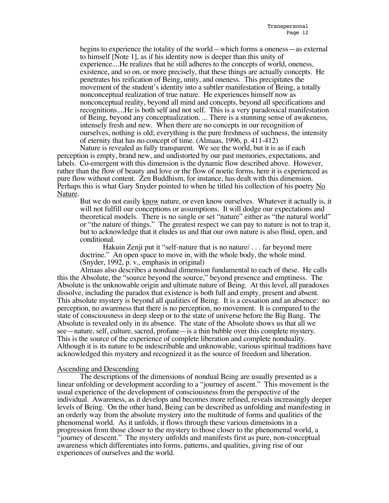begins to experience the totality of the world—which forms a oneness—as external to himself [Note 1], as if his identity now is deeper than this unity of experience....He realizes that he still adheres to the concepts of world, oneness, existence, and so on, or more precisely, that these things are actually concepts. He penetrates his reification of Being, unity, and oneness. This precipitates the movement of the student's identity into a subtler manifestation of Being, a totally nonconceptual realization of true nature. He experiences himself now as nonconceptual reality, beyond all mind and concepts, beyond all specifications and recognitions....He is both self and not self. This is a very paradoxical manifestation of Being, beyond any conceptualization. ... There is a stunning sense of awakeness, intensely fresh and new. When there are no concepts in our recognition of ourselves, nothing is old; everything is the pure freshness of suchness, the intensity of eternity that has no concept of time. (Almaas, 1996, p. 411-412)

Nature is revealed as fully transparent. We see the world, but it is as if each perception is empty, brand new, and undistorted by our past memories, expectations, and labels. Co-emergent with this dimension is the dynamic flow described above. However, rather than the flow of beauty and love or the flow of noetic forms, here it is experienced as pure flow without content. Zen Buddhism, for instance, has dealt with this dimension. Perhaps this is what Gary Snyder pointed to when he titled his collection of his poetry No Nature.

But we do not easily know nature, or even know ourselves. Whatever it actually is, it will not fulfill our conceptions or assumptions. It will dodge our expectations and theoretical models. There is no single or set "nature" either as "the natural world" or "the nature of things." The greatest respect we can pay to nature is not to trap it, but to acknowledge that it eludes us and that our own nature is also fluid, open, and conditional.

Hakuin Zenji put it "self-nature that is no nature/ . . . far beyond mere doctrine." An open space to move in, with the whole body, the whole mind. (Snyder, 1992, p. v., emphasis in original)

Almaas also describes a nondual dimension fundamental to each of these. He calls this the Absolute, the "source beyond the source," beyond presence and emptiness. The Absolute is the unknowable origin and ultimate nature of Being. At this level, all paradoxes dissolve, including the paradox that existence is both full and empty, present and absent. This absolute mystery is beyond all qualities of Being. It is a cessation and an absence: no perception, no awareness that there is no perception, no movement. It is compared to the state of consciousness in deep sleep or to the state of universe before the Big Bang. The Absolute is revealed only in its absence. The state of the Absolute shows us that all we see—nature, self, culture, sacred, profane—is a thin bubble over this complete mystery. This is the source of the experience of complete liberation and complete nonduality. Although it is its nature to be indescribable and unknowable, various spiritual traditions have acknowledged this mystery and recognized it as the source of freedom and liberation.

#### Ascending and Descending

The descriptions of the dimensions of nondual Being are usually presented as a linear unfolding or development according to a "journey of ascent." This movement is the usual experience of the development of consciousness from the perspective of the individual. Awareness, as it develops and becomes more refined, reveals increasingly deeper levels of Being. On the other hand, Being can be described as unfolding and manifesting in an orderly way from the absolute mystery into the multitude of forms and qualities of the phenomenal world. As it unfolds, it flows through these various dimensions in a progression from those closer to the mystery to those closer to the phenomenal world, a "journey of descent." The mystery unfolds and manifests first as pure, non-conceptual awareness which differentiates into forms, patterns, and qualities, giving rise of our experiences of ourselves and the world.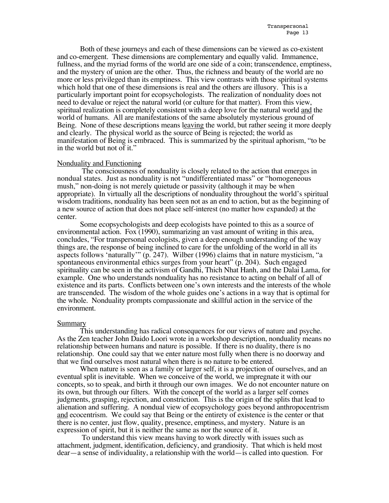Both of these journeys and each of these dimensions can be viewed as co-existent and co-emergent. These dimensions are complementary and equally valid. Immanence, fullness, and the myriad forms of the world are one side of a coin; transcendence, emptiness, and the mystery of union are the other. Thus, the richness and beauty of the world are no more or less privileged than its emptiness. This view contrasts with those spiritual systems which hold that one of these dimensions is real and the others are illusory. This is a particularly important point for ecopsychologists. The realization of nonduality does not need to devalue or reject the natural world (or culture for that matter). From this view, spiritual realization is completely consistent with a deep love for the natural world and the world of humans. All are manifestations of the same absolutely mysterious ground of Being. None of these descriptions means leaving the world, but rather seeing it more deeply and clearly. The physical world as the source of Being is rejected; the world as manifestation of Being is embraced. This is summarized by the spiritual aphorism, "to be in the world but not of it."

### Nonduality and Functioning

 The consciousness of nonduality is closely related to the action that emerges in nondual states. Just as nonduality is not "undifferentiated mass" or "homogeneous mush," non-doing is not merely quietude or passivity (although it may be when appropriate). In virtually all the descriptions of nonduality throughout the world's spiritual wisdom traditions, nonduality has been seen not as an end to action, but as the beginning of a new source of action that does not place self-interest (no matter how expanded) at the center.

Some ecopsychologists and deep ecologists have pointed to this as a source of environmental action. Fox (1990), summarizing an vast amount of writing in this area, concludes, "For transpersonal ecologists, given a deep enough understanding of the way things are, the response of being inclined to care for the unfolding of the world in all its aspects follows 'naturally'" (p. 247). Wilber (1996) claims that in nature mysticism, "a spontaneous environmental ethics surges from your heart" (p. 204). Such engaged spirituality can be seen in the activism of Gandhi, Thich Nhat Hanh, and the Dalai Lama, for example. One who understands nonduality has no resistance to acting on behalf of all of existence and its parts. Conflicts between one's own interests and the interests of the whole are transcended. The wisdom of the whole guides one's actions in a way that is optimal for the whole. Nonduality prompts compassionate and skillful action in the service of the environment.

### Summary

This understanding has radical consequences for our views of nature and psyche. As the Zen teacher John Daido Loori wrote in a workshop description, nonduality means no relationship between humans and nature is possible. If there is no duality, there is no relationship. One could say that we enter nature most fully when there is no doorway and that we find ourselves most natural when there is no nature to be entered.

When nature is seen as a family or larger self, it is a projection of ourselves, and an eventual split is inevitable. When we conceive of the world, we impregnate it with our concepts, so to speak, and birth it through our own images. We do not encounter nature on its own, but through our filters. With the concept of the world as a larger self comes judgments, grasping, rejection, and constriction. This is the origin of the splits that lead to alienation and suffering. A nondual view of ecopsychology goes beyond anthropocentrism and ecocentrism. We could say that Being or the entirety of existence is the center or that there is no center, just flow, quality, presence, emptiness, and mystery. Nature is an expression of spirit, but it is neither the same as nor the source of it.

 To understand this view means having to work directly with issues such as attachment, judgment, identification, deficiency, and grandiosity. That which is held most dear—a sense of individuality, a relationship with the world—is called into question. For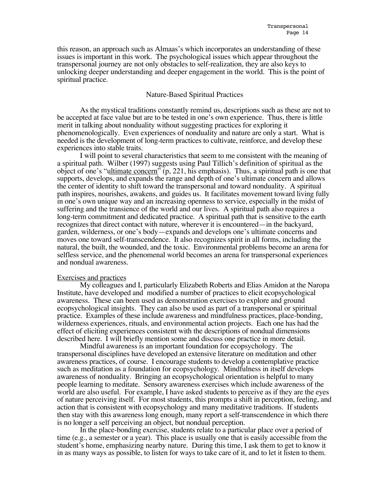this reason, an approach such as Almaas's which incorporates an understanding of these issues is important in this work. The psychological issues which appear throughout the transpersonal journey are not only obstacles to self-realization, they are also keys to unlocking deeper understanding and deeper engagement in the world. This is the point of spiritual practice.

### Nature-Based Spiritual Practices

As the mystical traditions constantly remind us, descriptions such as these are not to be accepted at face value but are to be tested in one's own experience. Thus, there is little merit in talking about nonduality without suggesting practices for exploring it phenomenologically. Even experiences of nonduality and nature are only a start. What is needed is the development of long-term practices to cultivate, reinforce, and develop these experiences into stable traits.

I will point to several characteristics that seem to me consistent with the meaning of a spiritual path. Wilber (1997) suggests using Paul Tillich's definition of spiritual as the object of one's "ultimate concern"  $(p, 221, h)$  his emphasis). Thus, a spiritual path is one that supports, develops, and expands the range and depth of one's ultimate concern and allows the center of identity to shift toward the transpersonal and toward nonduality. A spiritual path inspires, nourishes, awakens, and guides us. It facilitates movement toward living fully in one's own unique way and an increasing openness to service, especially in the midst of suffering and the transience of the world and our lives. A spiritual path also requires a long-term commitment and dedicated practice. A spiritual path that is sensitive to the earth recognizes that direct contact with nature, wherever it is encountered—in the backyard, garden, wilderness, or one's body—expands and develops one's ultimate concerns and moves one toward self-transcendence. It also recognizes spirit in all forms, including the natural, the built, the wounded, and the toxic. Environmental problems become an arena for selfless service, and the phenomenal world becomes an arena for transpersonal experiences and nondual awareness.

### Exercises and practices

My colleagues and I, particularly Elizabeth Roberts and Elias Amidon at the Naropa Institute, have developed and modified a number of practices to elicit ecopsychological awareness. These can been used as demonstration exercises to explore and ground ecopsychological insights. They can also be used as part of a transpersonal or spiritual practice. Examples of these include awareness and mindfulness practices, place-bonding, wilderness experiences, rituals, and environmental action projects. Each one has had the effect of eliciting experiences consistent with the descriptions of nondual dimensions described here. I will briefly mention some and discuss one practice in more detail.

Mindful awareness is an important foundation for ecopsychology. The transpersonal disciplines have developed an extensive literature on meditation and other awareness practices, of course. I encourage students to develop a contemplative practice such as meditation as a foundation for ecopsychology. Mindfulness in itself develops awareness of nonduality. Bringing an ecopsychological orientation is helpful to many people learning to meditate. Sensory awareness exercises which include awareness of the world are also useful. For example, I have asked students to perceive as if they are the eyes of nature perceiving itself. For most students, this prompts a shift in perception, feeling, and action that is consistent with ecopsychology and many meditative traditions. If students then stay with this awareness long enough, many report a self-transcendence in which there is no longer a self perceiving an object, but nondual perception.

In the place-bonding exercise, students relate to a particular place over a period of time (e.g., a semester or a year). This place is usually one that is easily accessible from the student's home, emphasizing nearby nature. During this time, I ask them to get to know it in as many ways as possible, to listen for ways to take care of it, and to let it listen to them.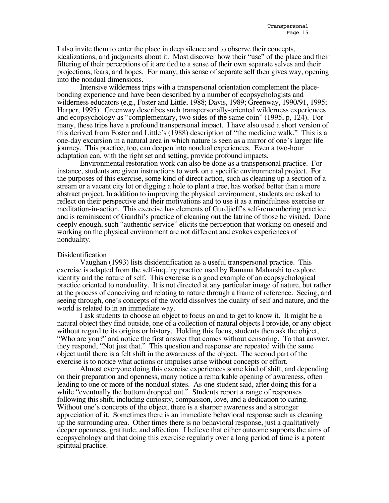I also invite them to enter the place in deep silence and to observe their concepts, idealizations, and judgments about it. Most discover how their "use" of the place and their filtering of their perceptions of it are tied to a sense of their own separate selves and their projections, fears, and hopes. For many, this sense of separate self then gives way, opening into the nondual dimensions.

Intensive wilderness trips with a transpersonal orientation complement the placebonding experience and have been described by a number of ecopsychologists and wilderness educators (e.g., Foster and Little, 1988; Davis, 1989; Greenway, 1990/91, 1995; Harper, 1995). Greenway describes such transpersonally-oriented wilderness experiences and ecopsychology as "complementary, two sides of the same coin" (1995, p, 124). For many, these trips have a profound transpersonal impact. I have also used a short version of this derived from Foster and Little's (1988) description of "the medicine walk." This is a one-day excursion in a natural area in which nature is seen as a mirror of one's larger life journey. This practice, too, can deepen into nondual experiences. Even a two-hour adaptation can, with the right set and setting, provide profound impacts.

Environmental restoration work can also be done as a transpersonal practice. For instance, students are given instructions to work on a specific environmental project. For the purposes of this exercise, some kind of direct action, such as cleaning up a section of a stream or a vacant city lot or digging a hole to plant a tree, has worked better than a more abstract project. In addition to improving the physical environment, students are asked to reflect on their perspective and their motivations and to use it as a mindfulness exercise or meditation-in-action. This exercise has elements of Gurdjieff's self-remembering practice and is reminiscent of Gandhi's practice of cleaning out the latrine of those he visited. Done deeply enough, such "authentic service" elicits the perception that working on oneself and working on the physical environment are not different and evokes experiences of nonduality.

## Disidentification

Vaughan (1993) lists disidentification as a useful transpersonal practice. This exercise is adapted from the self-inquiry practice used by Ramana Maharshi to explore identity and the nature of self. This exercise is a good example of an ecopsychological practice oriented to nonduality. It is not directed at any particular image of nature, but rather at the process of conceiving and relating to nature through a frame of reference. Seeing, and seeing through, one's concepts of the world dissolves the duality of self and nature, and the world is related to in an immediate way.

I ask students to choose an object to focus on and to get to know it. It might be a natural object they find outside, one of a collection of natural objects I provide, or any object without regard to its origins or history. Holding this focus, students then ask the object, "Who are you?" and notice the first answer that comes without censoring. To that answer, they respond, "Not just that." This question and response are repeated with the same object until there is a felt shift in the awareness of the object. The second part of the exercise is to notice what actions or impulses arise without concepts or effort.

Almost everyone doing this exercise experiences some kind of shift, and depending on their preparation and openness, many notice a remarkable opening of awareness, often leading to one or more of the nondual states. As one student said, after doing this for a while "eventually the bottom dropped out." Students report a range of responses following this shift, including curiosity, compassion, love, and a dedication to caring. Without one's concepts of the object, there is a sharper awareness and a stronger appreciation of it. Sometimes there is an immediate behavioral response such as cleaning up the surrounding area. Other times there is no behavioral response, just a qualitatively deeper openness, gratitude, and affection. I believe that either outcome supports the aims of ecopsychology and that doing this exercise regularly over a long period of time is a potent spiritual practice.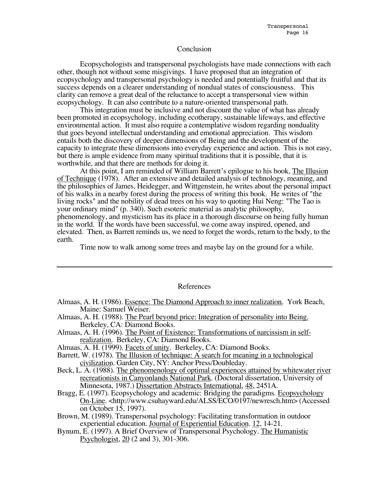### Conclusion

Ecopsychologists and transpersonal psychologists have made connections with each other, though not without some misgivings. I have proposed that an integration of ecopsychology and transpersonal psychology is needed and potentially fruitful and that its success depends on a clearer understanding of nondual states of consciousness. This clarity can remove a great deal of the reluctance to accept a transpersonal view within ecopsychology. It can also contribute to a nature-oriented transpersonal path.

This integration must be inclusive and not discount the value of what has already been promoted in ecopsychology, including ecotherapy, sustainable lifeways, and effective environmental action. It must also require a contemplative wisdom regarding nonduality that goes beyond intellectual understanding and emotional appreciation. This wisdom entails both the discovery of deeper dimensions of Being and the development of the capacity to integrate these dimensions into everyday experience and action. This is not easy, but there is ample evidence from many spiritual traditions that it is possible, that it is worthwhile, and that there are methods for doing it.

At this point, I am reminded of William Barrett's epilogue to his book, The Illusion of Technique (1978). After an extensive and detailed analysis of technology, meaning, and the philosophies of James, Heidegger, and Wittgenstein, he writes about the personal impact of his walks in a nearby forest during the process of writing this book. He writes of "the living rocks" and the nobility of dead trees on his way to quoting Hui Neng: "The Tao is your ordinary mind" (p. 340). Such esoteric material as analytic philosophy, phenomenology, and mysticism has its place in a thorough discourse on being fully human in the world. If the words have been successful, we come away inspired, opened, and elevated. Then, as Barrett reminds us, we need to forget the words, return to the body, to the earth.

Time now to walk among some trees and maybe lay on the ground for a while.

#### References

- Almaas, A. H. (1986). Essence: The Diamond Approach to inner realization. York Beach, Maine: Samuel Weiser.
- Almaas, A. H. (1988). The Pearl beyond price: Integration of personality into Being. Berkeley, CA: Diamond Books.
- Almaas, A. H. (1996). The Point of Existence: Transformations of narcissism in selfrealization. Berkeley, CA: Diamond Books.
- Almaas, A. H. (1999). Facets of unity. Berkeley, CA: Diamond Books.
- Barrett, W. (1978). The Illusion of technique: A search for meaning in a technological civilization. Garden City, NY: Anchor Press/Doubleday.
- Beck, L. A. (1988). The phenomenology of optimal experiences attained by whitewater river recreationists in Canyonlands National Park. (Doctoral dissertation, University of Minnesota, 1987.) Dissertation Abstracts International, 48, 2451A.
- Bragg, E. (1997). Ecopsychology and academic: Bridging the paradigms. Ecopsychology On-Line. <http://www.csuhayward.edu/ALSS/ECO/0197/newresch.htm> (Accessed on October 15, 1997).
- Brown, M. (1989). Transpersonal psychology: Facilitating transformation in outdoor experiential education. Journal of Experiential Education. 12, 14-21.
- Bynum, E. (1997). A Brief Overview of Transpersonal Psychology. The Humanistic Psychologist, 20 (2 and 3), 301-306.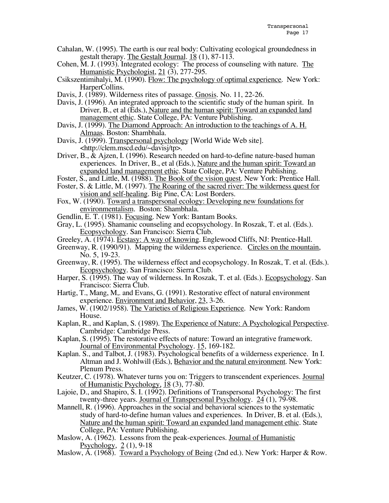- Cahalan, W. (1995). The earth is our real body: Cultivating ecological groundedness in gestalt therapy. The Gestalt Journal. 18 (1), 87-113.
- Cohen, M. J. (1993). Integrated ecology: The process of counseling with nature. The Humanistic Psychologist, 21 (3), 277-295.
- Csikszentimihalyi, M. (1990). Flow: The psychology of optimal experience. New York: HarperCollins.
- Davis, J. (1989). Wilderness rites of passage. Gnosis. No. 11, 22-26.
- Davis, J. (1996). An integrated approach to the scientific study of the human spirit. In Driver, B., et al (Eds.), Nature and the human spirit: Toward an expanded land management ethic. State College, PA: Venture Publishing.
- Davis, J. (1999). The Diamond Approach: An introduction to the teachings of A. H. Almaas. Boston: Shambhala.
- Davis, J. (1999). Transpersonal psychology [World Wide Web site]. <http://clem.mscd.edu/~davisj/tp>.
- Driver, B., & Ajzen, I. (1996). Research needed on hard-to-define nature-based human experiences. In Driver, B., et al (Eds.), Nature and the human spirit: Toward an expanded land management ethic. State College, PA: Venture Publishing.
- Foster, S., and Little, M. (1988). The Book of the vision quest. New York: Prentice Hall.
- Foster, S. & Little, M. (1997). The Roaring of the sacred river: The wilderness quest for vision and self-healing. Big Pine, CA: Lost Borders.
- Fox, W. (1990). Toward a transpersonal ecology: Developing new foundations for environmentalism. Boston: Shambhala.
- Gendlin, E. T. (1981). Focusing. New York: Bantam Books.
- Gray, L. (1995). Shamanic counseling and ecopsychology. In Roszak, T. et al. (Eds.). Ecopsychology. San Francisco: Sierra Club.
- Greeley, A. (1974). Ecstasy: A way of knowing. Englewood Cliffs, NJ: Prentice-Hall.
- Greenway, R. (1990/91). Mapping the wilderness experience. Circles on the mountain, No. 5, 19-23.
- Greenway, R. (1995). The wilderness effect and ecopsychology. In Roszak, T. et al. (Eds.). Ecopsychology. San Francisco: Sierra Club.
- Harper, S. (1995). The way of wilderness. In Roszak, T. et al. (Eds.). Ecopsychology. San Francisco: Sierra Club.
- Hartig, T., Mang, M,. and Evans, G. (1991). Restorative effect of natural environment experience. Environment and Behavior, 23, 3-26.
- James, W. (1902/1958). The Varieties of Religious Experience. New York: Random House.
- Kaplan, R., and Kaplan, S. (1989). The Experience of Nature: A Psychological Perspective. Cambridge: Cambridge Press.
- Kaplan, S. (1995). The restorative effects of nature: Toward an integrative framework. Journal of Environmental Psychology. 15, 169-182.
- Kaplan. S., and Talbot, J. (1983). Psychological benefits of a wilderness experience. In I. Altman and J. Wohlwill (Eds.), Behavior and the natural environment. New York: Plenum Press.
- Keutzer, C. (1978). Whatever turns you on: Triggers to transcendent experiences. Journal of Humanistic Psychology,  $\underline{18}$  (3), 77-80.
- Lajoie, D., and Shapiro, S. I. (1992). Definitions of Transpersonal Psychology: The first twenty-three years. Journal of Transpersonal Psychology. 24 (1), 79-98.
- Mannell, R. (1996). Approaches in the social and behavioral sciences to the systematic study of hard-to-define human values and experiences. In Driver, B. et al. (Eds.), Nature and the human spirit: Toward an expanded land management ethic. State College, PA: Venture Publishing.
- Maslow, A. (1962). Lessons from the peak-experiences. Journal of Humanistic Psychology, 2 (1), 9-18
- Maslow, A. (1968). Toward a Psychology of Being (2nd ed.). New York: Harper & Row.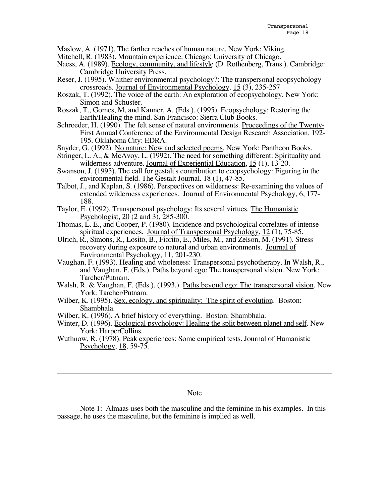Maslow, A. (1971). The farther reaches of human nature. New York: Viking.

- Mitchell, R. (1983). Mountain experience. Chicago: University of Chicago.
- Naess, A. (1989). Ecology, community, and lifestyle (D. Rothenberg, Trans.). Cambridge: Cambridge University Press.
- Reser, J. (1995). Whither environmental psychology?: The transpersonal ecopsychology crossroads. Journal of Environmental Psychology. 15 (3), 235-257
- Roszak, T. (1992). The voice of the earth: An exploration of ecopsychology. New York: Simon and Schuster.
- Roszak, T., Gomes, M, and Kanner, A. (Eds.). (1995). Ecopsychology: Restoring the Earth/Healing the mind. San Francisco: Sierra Club Books.
- Schroeder, H. (1990). The felt sense of natural environments. Proceedings of the Twenty-First Annual Conference of the Environmental Design Research Association. 192- 195. Oklahoma City: EDRA.
- Snyder, G. (1992). No nature: New and selected poems. New York: Pantheon Books.
- Stringer, L. A., & McAvoy, L. (1992). The need for something different: Spirituality and wilderness adventure. Journal of Experiential Education, 15 (1), 13-20.
- Swanson, J. (1995). The call for gestalt's contribution to ecopsychology: Figuring in the environmental field. The Gestalt Journal. 18 (1), 47-85.
- Talbot, J., and Kaplan, S. (1986). Perspectives on wilderness: Re-examining the values of extended wilderness experiences. Journal of Environmental Psychology, 6, 177- 188.
- Taylor, E. (1992). Transpersonal psychology: Its several virtues. The Humanistic Psychologist, 20 (2 and 3), 285-300.
- Thomas, L. E., and Cooper, P. (1980). Incidence and psychological correlates of intense spiritual experiences. Journal of Transpersonal Psychology, 12 (1), 75-85.
- Ulrich, R., Simons, R., Losito, B., Fiorito, E., Miles, M., and Zelson, M. (1991). Stress recovery during exposure to natural and urban environments. Journal of Environmental Psychology, 11, 201-230.
- Vaughan, F. (1993). Healing and wholeness: Transpersonal psychotherapy. In Walsh, R., and Vaughan, F. (Eds.). Paths beyond ego: The transpersonal vision. New York: Tarcher/Putnam.
- Walsh, R. & Vaughan, F. (Eds.). (1993.). Paths beyond ego: The transpersonal vision. New York: Tarcher/Putnam.
- Wilber, K. (1995). Sex, ecology, and spirituality: The spirit of evolution. Boston: Shambhala.

Wilber, K. (1996). A brief history of everything. Boston: Shambhala.

- Winter, D. (1996). Ecological psychology: Healing the split between planet and self. New York: HarperCollins.
- Wuthnow, R. (1978). Peak experiences: Some empirical tests. Journal of Humanistic Psychology, 18, 59-75.

### Note

Note 1: Almaas uses both the masculine and the feminine in his examples. In this passage, he uses the masculine, but the feminine is implied as well.